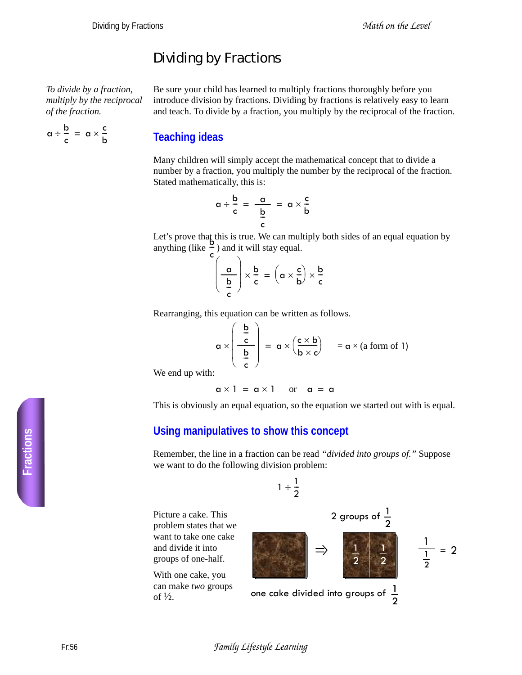## Dividing by Fractions

*To divide by a fraction, multiply by the reciprocal of the fraction.*

 $\frac{1}{c}$  =  $\alpha \times \frac{c}{b}$ 

 $a \div \frac{b}{a}$ 

Be sure your child has learned to multiply fractions thoroughly before you introduce division by fractions. Dividing by fractions is relatively easy to learn and teach. To divide by a fraction, you multiply by the reciprocal of the fraction.

## **Teaching ideas**

Many children will simply accept the mathematical concept that to divide a number by a fraction, you multiply the number by the reciprocal of the fraction. Stated mathematically, this is:

$$
\alpha \div \frac{b}{c} = \frac{a}{\frac{b}{c}} = \alpha \times \frac{c}{b}
$$

Let's prove that this is true. We can multiply both sides of an equal equation by Let s prove that this is the secan multiple  $\frac{b}{2}$  and it will stay equal. c --

$$
\left(\frac{\alpha}{\frac{b}{c}}\right) \times \frac{b}{c} = \left(\alpha \times \frac{c}{b}\right) \times \frac{b}{c}
$$

Rearranging, this equation can be written as follows.

$$
\alpha \times \left(\begin{array}{c} \frac{b}{c} \\ \frac{b}{c} \end{array}\right) \; = \; \alpha \times \left(\frac{c \times b}{b \times c}\right) \quad = \alpha \times (a \text{ form of 1})
$$

We end up with:

$$
\alpha \times 1 = \alpha \times 1 \quad \text{or} \quad \alpha = \alpha
$$

This is obviously an equal equation, so the equation we started out with is equal.

## **Using manipulatives to show this concept**

Remember, the line in a fraction can be read *"divided into groups of."* Suppose we want to do the following division problem:

<sup>1</sup> <sup>1</sup> 2 ÷ -- 1 2 1 2 2 groups of <sup>1</sup> 2 one cake divided into groups of <sup>1</sup> 2 1 1 2 = 2

Picture a cake. This problem states that y want to take one cak and divide it into groups of one-half.

With one cake, you can make *two* group of  $\frac{1}{2}$ .